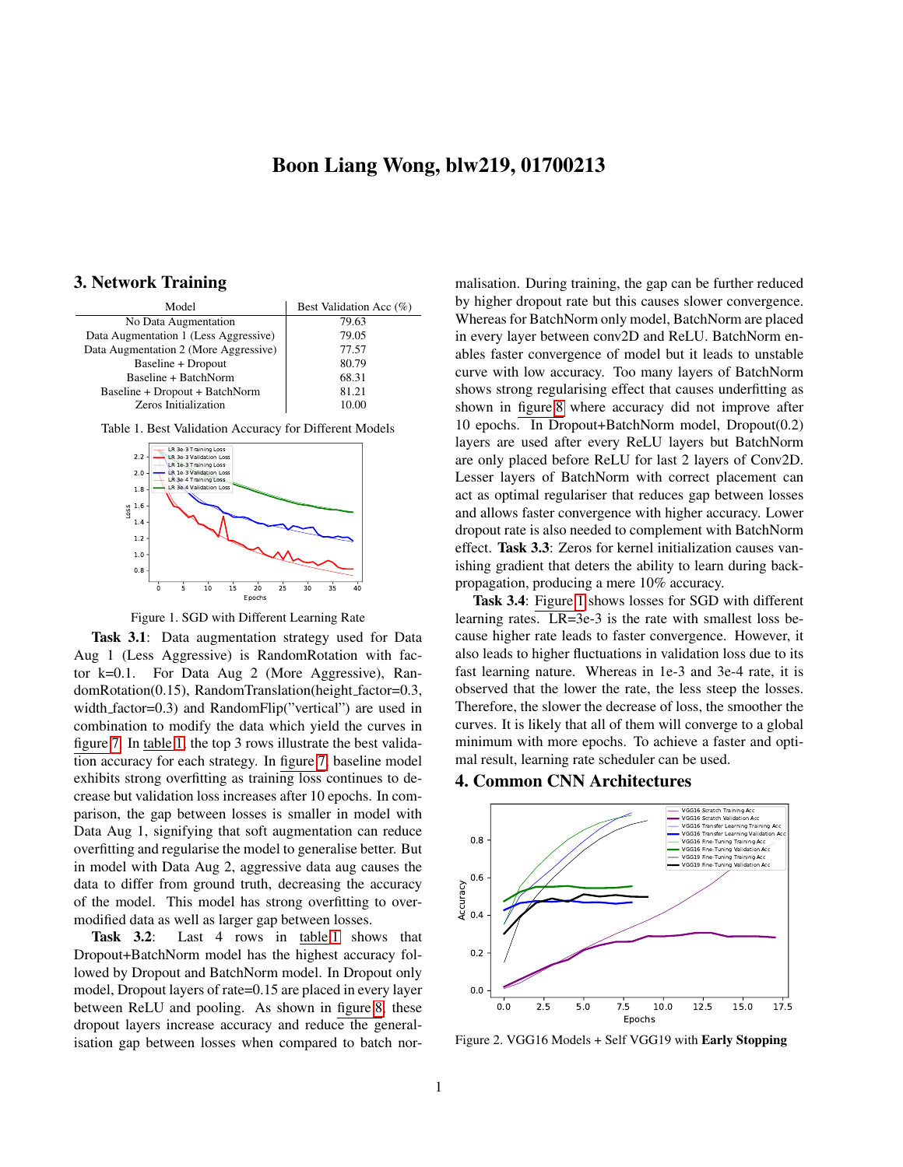# Boon Liang Wong, blw219, 01700213

### 3. Network Training

| Best Validation Acc (%) |
|-------------------------|
| 79.63                   |
| 79.05                   |
| 77.57                   |
| 80.79                   |
| 68.31                   |
| 81.21                   |
| 10.00                   |
|                         |

Table 1. Best Validation Accuracy for Different Models

<span id="page-0-0"></span>

<span id="page-0-1"></span>Figure 1. SGD with Different Learning Rate

Task 3.1: Data augmentation strategy used for Data Aug 1 (Less Aggressive) is RandomRotation with factor k=0.1. For Data Aug 2 (More Aggressive), Ran $domRotation (0.15)$ , RandomTranslation(height\_factor=0.3, width factor=0.3) and RandomFlip("vertical") are used in combination to modify the data which yield the curves in figure [7.](#page-4-0) In table [1,](#page-0-0) the top 3 rows illustrate the best validation accuracy for each strategy. In figure [7,](#page-4-0) baseline model exhibits strong overfitting as training loss continues to decrease but validation loss increases after 10 epochs. In comparison, the gap between losses is smaller in model with Data Aug 1, signifying that soft augmentation can reduce overfitting and regularise the model to generalise better. But in model with Data Aug 2, aggressive data aug causes the data to differ from ground truth, decreasing the accuracy of the model. This model has strong overfitting to overmodified data as well as larger gap between losses.

Task 3.2: Last 4 rows in table [1](#page-0-0) shows that Dropout+BatchNorm model has the highest accuracy followed by Dropout and BatchNorm model. In Dropout only model, Dropout layers of rate=0.15 are placed in every layer between ReLU and pooling. As shown in figure [8,](#page-4-1) these dropout layers increase accuracy and reduce the generalisation gap between losses when compared to batch normalisation. During training, the gap can be further reduced by higher dropout rate but this causes slower convergence. Whereas for BatchNorm only model, BatchNorm are placed in every layer between conv2D and ReLU. BatchNorm enables faster convergence of model but it leads to unstable curve with low accuracy. Too many layers of BatchNorm shows strong regularising effect that causes underfitting as shown in figure [8](#page-4-1) where accuracy did not improve after 10 epochs. In Dropout+BatchNorm model, Dropout(0.2) layers are used after every ReLU layers but BatchNorm are only placed before ReLU for last 2 layers of Conv2D. Lesser layers of BatchNorm with correct placement can act as optimal regulariser that reduces gap between losses and allows faster convergence with higher accuracy. Lower dropout rate is also needed to complement with BatchNorm effect. Task 3.3: Zeros for kernel initialization causes vanishing gradient that deters the ability to learn during backpropagation, producing a mere 10% accuracy.

Task 3.4: Figure [1](#page-0-1) shows losses for SGD with different learning rates. LR=3e-3 is the rate with smallest loss because higher rate leads to faster convergence. However, it also leads to higher fluctuations in validation loss due to its fast learning nature. Whereas in 1e-3 and 3e-4 rate, it is observed that the lower the rate, the less steep the losses. Therefore, the slower the decrease of loss, the smoother the curves. It is likely that all of them will converge to a global minimum with more epochs. To achieve a faster and optimal result, learning rate scheduler can be used.

#### 4. Common CNN Architectures



<span id="page-0-2"></span>Figure 2. VGG16 Models + Self VGG19 with Early Stopping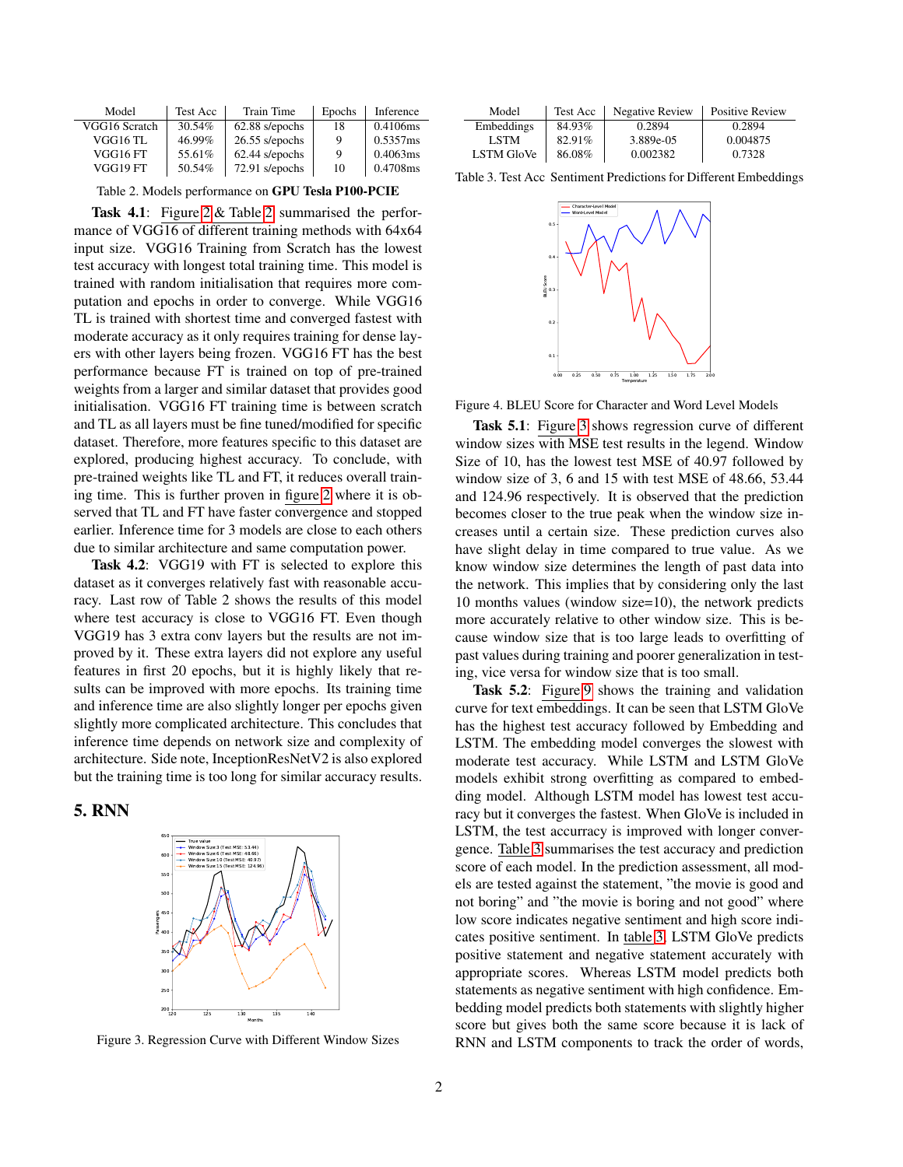| Model         | Test Acc | Train Time     | Epochs | Inference |
|---------------|----------|----------------|--------|-----------|
| VGG16 Scratch | 30.54%   | 62.88 s/epochs | 18     | 0.4106ms  |
| VGG16 TL      | 46.99%   | 26.55 s/epochs | 9      | 0.5357ms  |
| VGG16 FT      | 55.61%   | 62.44 s/epochs | 9      | 0.4063ms  |
| VGG19 FT      | 50.54%   | 72.91 s/epochs | 10     | 0.4708ms  |

<span id="page-1-0"></span>Table 2. Models performance on GPU Tesla P100-PCIE

Task 4.1: Figure [2](#page-0-2) & Table [2](#page-1-0) summarised the performance of VGG16 of different training methods with 64x64 input size. VGG16 Training from Scratch has the lowest test accuracy with longest total training time. This model is trained with random initialisation that requires more computation and epochs in order to converge. While VGG16 TL is trained with shortest time and converged fastest with moderate accuracy as it only requires training for dense layers with other layers being frozen. VGG16 FT has the best performance because FT is trained on top of pre-trained weights from a larger and similar dataset that provides good initialisation. VGG16 FT training time is between scratch and TL as all layers must be fine tuned/modified for specific dataset. Therefore, more features specific to this dataset are explored, producing highest accuracy. To conclude, with pre-trained weights like TL and FT, it reduces overall training time. This is further proven in figure [2](#page-0-2) where it is observed that TL and FT have faster convergence and stopped earlier. Inference time for 3 models are close to each others due to similar architecture and same computation power.

Task 4.2: VGG19 with FT is selected to explore this dataset as it converges relatively fast with reasonable accuracy. Last row of Table 2 shows the results of this model where test accuracy is close to VGG16 FT. Even though VGG19 has 3 extra conv layers but the results are not improved by it. These extra layers did not explore any useful features in first 20 epochs, but it is highly likely that results can be improved with more epochs. Its training time and inference time are also slightly longer per epochs given slightly more complicated architecture. This concludes that inference time depends on network size and complexity of architecture. Side note, InceptionResNetV2 is also explored but the training time is too long for similar accuracy results.

### 5. RNN



<span id="page-1-1"></span>Figure 3. Regression Curve with Different Window Sizes

| Model      | Test Acc | <b>Negative Review</b> | <b>Positive Review</b> |
|------------|----------|------------------------|------------------------|
| Embeddings | 84.93%   | 0.2894                 | 0.2894                 |
| LSTM       | 82.91%   | 3.889e-05              | 0.004875               |
| LSTM GloVe | 86.08%   | 0.002382               | 0.7328                 |

Table 3. Test Acc Sentiment Predictions for Different Embeddings

<span id="page-1-2"></span>

<span id="page-1-3"></span>Figure 4. BLEU Score for Character and Word Level Models

Task 5.1: Figure [3](#page-1-1) shows regression curve of different window sizes with MSE test results in the legend. Window Size of 10, has the lowest test MSE of 40.97 followed by window size of 3, 6 and 15 with test MSE of 48.66, 53.44 and 124.96 respectively. It is observed that the prediction becomes closer to the true peak when the window size increases until a certain size. These prediction curves also have slight delay in time compared to true value. As we know window size determines the length of past data into the network. This implies that by considering only the last 10 months values (window size=10), the network predicts more accurately relative to other window size. This is because window size that is too large leads to overfitting of past values during training and poorer generalization in testing, vice versa for window size that is too small.

Task 5.2: Figure [9](#page-4-2) shows the training and validation curve for text embeddings. It can be seen that LSTM GloVe has the highest test accuracy followed by Embedding and LSTM. The embedding model converges the slowest with moderate test accuracy. While LSTM and LSTM GloVe models exhibit strong overfitting as compared to embedding model. Although LSTM model has lowest test accuracy but it converges the fastest. When GloVe is included in LSTM, the test accurracy is improved with longer convergence. Table [3](#page-1-2) summarises the test accuracy and prediction score of each model. In the prediction assessment, all models are tested against the statement, "the movie is good and not boring" and "the movie is boring and not good" where low score indicates negative sentiment and high score indicates positive sentiment. In table [3,](#page-1-2) LSTM GloVe predicts positive statement and negative statement accurately with appropriate scores. Whereas LSTM model predicts both statements as negative sentiment with high confidence. Embedding model predicts both statements with slightly higher score but gives both the same score because it is lack of RNN and LSTM components to track the order of words,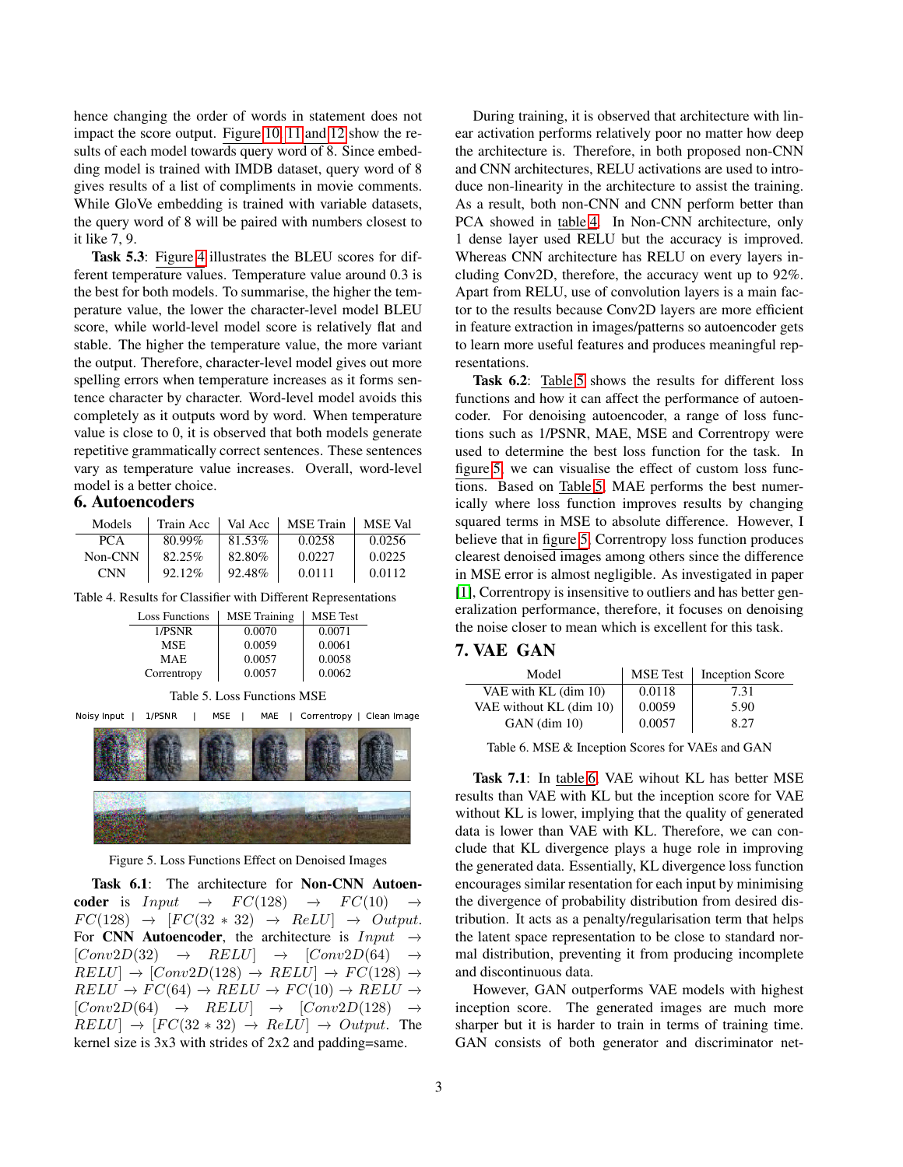hence changing the order of words in statement does not impact the score output. Figure [10,](#page-4-3) [11](#page-4-4) and [12](#page-5-0) show the results of each model towards query word of 8. Since embedding model is trained with IMDB dataset, query word of 8 gives results of a list of compliments in movie comments. While GloVe embedding is trained with variable datasets, the query word of 8 will be paired with numbers closest to it like 7, 9.

Task 5.3: Figure [4](#page-1-3) illustrates the BLEU scores for different temperature values. Temperature value around 0.3 is the best for both models. To summarise, the higher the temperature value, the lower the character-level model BLEU score, while world-level model score is relatively flat and stable. The higher the temperature value, the more variant the output. Therefore, character-level model gives out more spelling errors when temperature increases as it forms sentence character by character. Word-level model avoids this completely as it outputs word by word. When temperature value is close to 0, it is observed that both models generate repetitive grammatically correct sentences. These sentences vary as temperature value increases. Overall, word-level model is a better choice.

### 6. Autoencoders

| Models     | Train Acc | Val Acc | <b>MSE</b> Train | <b>MSE Val</b> |
|------------|-----------|---------|------------------|----------------|
| PCA        | 80.99%    | 81.53%  | 0.0258           | 0.0256         |
| Non-CNN    | 82.25%    | 82.80%  | 0.0227           | 0.0225         |
| <b>CNN</b> | 92.12\%   | 92.48%  | 0.0111           | 0.0112         |

Table 4. Results for Classifier with Different Representations

<span id="page-2-0"></span>

| <b>Loss Functions</b> | <b>MSE</b> Training | <b>MSE</b> Test |
|-----------------------|---------------------|-----------------|
| 1/PSNR                | 0.0070              | 0.0071          |
| <b>MSE</b>            | 0.0059              | 0.0061          |
| <b>MAE</b>            | 0.0057              | 0.0058          |
| Correntropy           | 0.0057              | 0.0062          |

<span id="page-2-1"></span>

| Table 5. Loss Functions MSE |  |  |
|-----------------------------|--|--|
|-----------------------------|--|--|

Noisy Input | 1/PSNR | MSE | MAE | Correntropy | Clean Image



Figure 5. Loss Functions Effect on Denoised Images

<span id="page-2-2"></span>Task 6.1: The architecture for Non-CNN Autoencoder is  $Input \rightarrow FC(128) \rightarrow FC(10)$  $FC(128) \rightarrow [FC(32 * 32) \rightarrow ReLU] \rightarrow Output.$ For CNN Autoencoder, the architecture is  $Input \rightarrow$  $[Conv2D(32) \rightarrow RELU] \rightarrow [Conv2D(64)]$  $RELU \rightarrow [Conv2D(128) \rightarrow RELU] \rightarrow FC(128) \rightarrow$  $RELU \to FC(64) \to RELU \to FC(10) \to RELU \to$  $[Conv2D(64) \rightarrow RELU] \rightarrow [Conv2D(128) \rightarrow$  $RELU \rightarrow [FC(32 * 32) \rightarrow ReLU] \rightarrow Output$ . The kernel size is 3x3 with strides of 2x2 and padding=same.

During training, it is observed that architecture with linear activation performs relatively poor no matter how deep the architecture is. Therefore, in both proposed non-CNN and CNN architectures, RELU activations are used to introduce non-linearity in the architecture to assist the training. As a result, both non-CNN and CNN perform better than PCA showed in table [4.](#page-2-0) In Non-CNN architecture, only 1 dense layer used RELU but the accuracy is improved. Whereas CNN architecture has RELU on every layers including Conv2D, therefore, the accuracy went up to 92%. Apart from RELU, use of convolution layers is a main factor to the results because Conv2D layers are more efficient in feature extraction in images/patterns so autoencoder gets to learn more useful features and produces meaningful representations.

Task 6.2: Table [5](#page-2-1) shows the results for different loss functions and how it can affect the performance of autoencoder. For denoising autoencoder, a range of loss functions such as 1/PSNR, MAE, MSE and Correntropy were used to determine the best loss function for the task. In figure [5,](#page-2-2) we can visualise the effect of custom loss functions. Based on Table [5,](#page-2-1) MAE performs the best numerically where loss function improves results by changing squared terms in MSE to absolute difference. However, I believe that in figure [5,](#page-2-2) Correntropy loss function produces clearest denoised images among others since the difference in MSE error is almost negligible. As investigated in paper [\[1\]](#page-4-5), Correntropy is insensitive to outliers and has better generalization performance, therefore, it focuses on denoising the noise closer to mean which is excellent for this task.

#### 7. VAE GAN

| Model                   | <b>MSE</b> Test | <b>Inception Score</b> |
|-------------------------|-----------------|------------------------|
| VAE with KL (dim 10)    | 0.0118          | 7.31                   |
| VAE without KL (dim 10) | 0.0059          | 5.90                   |
| $GAN$ (dim $10$ )       | 0.0057          | 8.27                   |

<span id="page-2-3"></span>Table 6. MSE & Inception Scores for VAEs and GAN

Task 7.1: In table [6,](#page-2-3) VAE wihout KL has better MSE results than VAE with KL but the inception score for VAE without KL is lower, implying that the quality of generated data is lower than VAE with KL. Therefore, we can conclude that KL divergence plays a huge role in improving the generated data. Essentially, KL divergence loss function encourages similar resentation for each input by minimising the divergence of probability distribution from desired distribution. It acts as a penalty/regularisation term that helps the latent space representation to be close to standard normal distribution, preventing it from producing incomplete and discontinuous data.

However, GAN outperforms VAE models with highest inception score. The generated images are much more sharper but it is harder to train in terms of training time. GAN consists of both generator and discriminator net-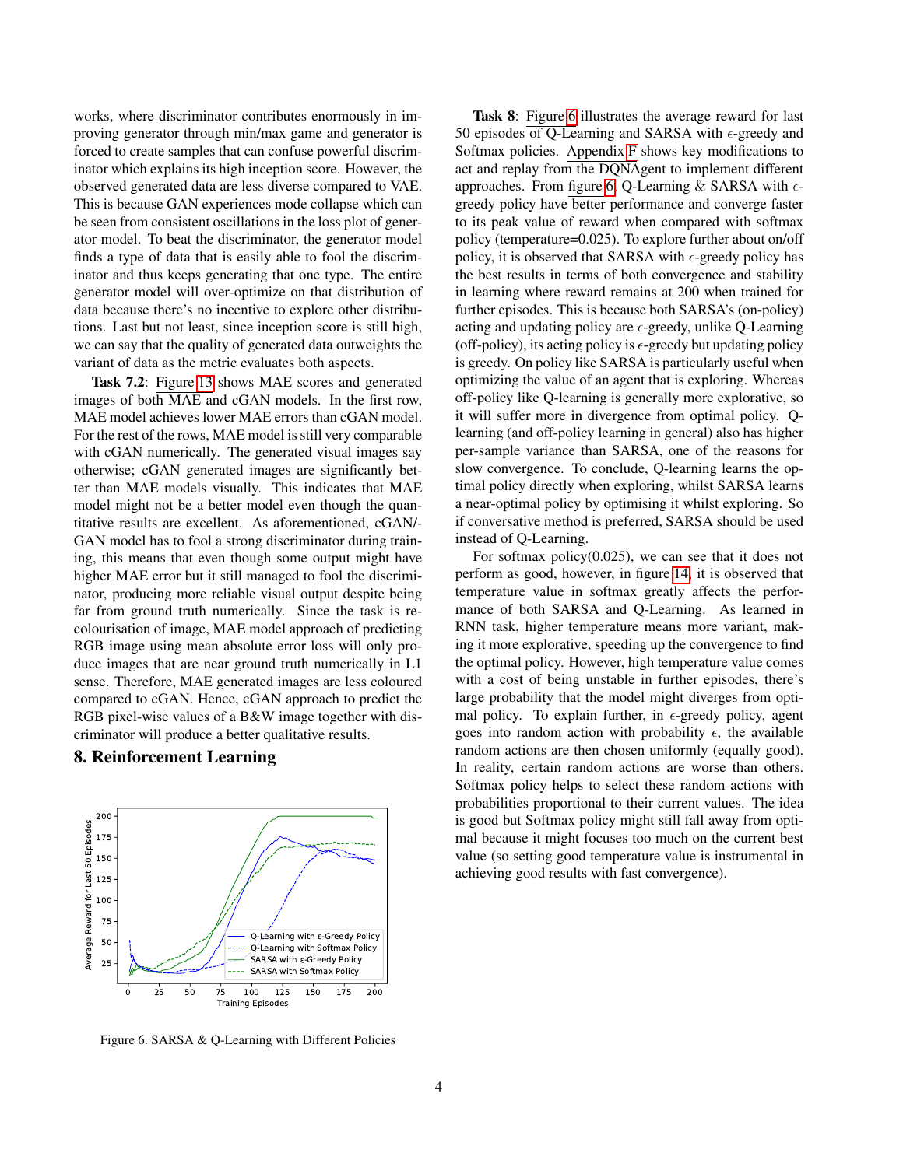works, where discriminator contributes enormously in improving generator through min/max game and generator is forced to create samples that can confuse powerful discriminator which explains its high inception score. However, the observed generated data are less diverse compared to VAE. This is because GAN experiences mode collapse which can be seen from consistent oscillations in the loss plot of generator model. To beat the discriminator, the generator model finds a type of data that is easily able to fool the discriminator and thus keeps generating that one type. The entire generator model will over-optimize on that distribution of data because there's no incentive to explore other distributions. Last but not least, since inception score is still high, we can say that the quality of generated data outweights the variant of data as the metric evaluates both aspects.

Task 7.2: Figure [13](#page-5-1) shows MAE scores and generated images of both MAE and cGAN models. In the first row, MAE model achieves lower MAE errors than cGAN model. For the rest of the rows, MAE model is still very comparable with cGAN numerically. The generated visual images say otherwise; cGAN generated images are significantly better than MAE models visually. This indicates that MAE model might not be a better model even though the quantitative results are excellent. As aforementioned, cGAN/- GAN model has to fool a strong discriminator during training, this means that even though some output might have higher MAE error but it still managed to fool the discriminator, producing more reliable visual output despite being far from ground truth numerically. Since the task is recolourisation of image, MAE model approach of predicting RGB image using mean absolute error loss will only produce images that are near ground truth numerically in L1 sense. Therefore, MAE generated images are less coloured compared to cGAN. Hence, cGAN approach to predict the RGB pixel-wise values of a B&W image together with discriminator will produce a better qualitative results.

#### 8. Reinforcement Learning



<span id="page-3-0"></span>Figure 6. SARSA & Q-Learning with Different Policies

Task 8: Figure [6](#page-3-0) illustrates the average reward for last 50 episodes of Q-Learning and SARSA with  $\epsilon$ -greedy and Softmax policies. Appendix [F](#page-5-2) shows key modifications to act and replay from the DQNAgent to implement different approaches. From figure [6,](#page-3-0) Q-Learning & SARSA with  $\epsilon$ greedy policy have better performance and converge faster to its peak value of reward when compared with softmax policy (temperature=0.025). To explore further about on/off policy, it is observed that SARSA with  $\epsilon$ -greedy policy has the best results in terms of both convergence and stability in learning where reward remains at 200 when trained for further episodes. This is because both SARSA's (on-policy) acting and updating policy are  $\epsilon$ -greedy, unlike Q-Learning (off-policy), its acting policy is  $\epsilon$ -greedy but updating policy is greedy. On policy like SARSA is particularly useful when optimizing the value of an agent that is exploring. Whereas off-policy like Q-learning is generally more explorative, so it will suffer more in divergence from optimal policy. Qlearning (and off-policy learning in general) also has higher per-sample variance than SARSA, one of the reasons for slow convergence. To conclude, Q-learning learns the optimal policy directly when exploring, whilst SARSA learns a near-optimal policy by optimising it whilst exploring. So if conversative method is preferred, SARSA should be used instead of Q-Learning.

For softmax policy $(0.025)$ , we can see that it does not perform as good, however, in figure [14,](#page-5-3) it is observed that temperature value in softmax greatly affects the performance of both SARSA and Q-Learning. As learned in RNN task, higher temperature means more variant, making it more explorative, speeding up the convergence to find the optimal policy. However, high temperature value comes with a cost of being unstable in further episodes, there's large probability that the model might diverges from optimal policy. To explain further, in  $\epsilon$ -greedy policy, agent goes into random action with probability  $\epsilon$ , the available random actions are then chosen uniformly (equally good). In reality, certain random actions are worse than others. Softmax policy helps to select these random actions with probabilities proportional to their current values. The idea is good but Softmax policy might still fall away from optimal because it might focuses too much on the current best value (so setting good temperature value is instrumental in achieving good results with fast convergence).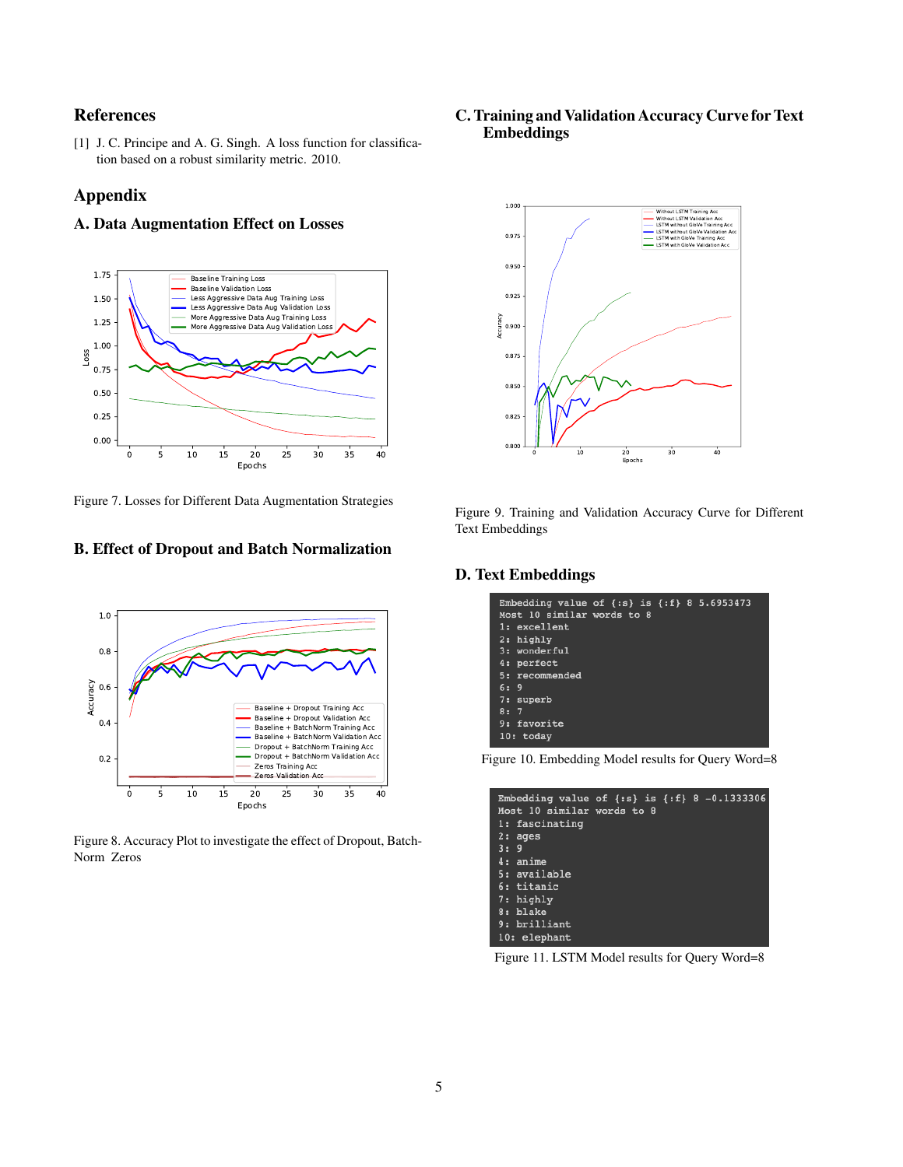# References

<span id="page-4-5"></span>[1] J. C. Principe and A. G. Singh. A loss function for classification based on a robust similarity metric. 2010.

# Appendix

### A. Data Augmentation Effect on Losses



<span id="page-4-0"></span>Figure 7. Losses for Different Data Augmentation Strategies

### B. Effect of Dropout and Batch Normalization



<span id="page-4-1"></span>Figure 8. Accuracy Plot to investigate the effect of Dropout, Batch-Norm Zeros

# C. Training and Validation Accuracy Curve for Text Embeddings



<span id="page-4-2"></span>Figure 9. Training and Validation Accuracy Curve for Different Text Embeddings

# D. Text Embeddings

| Embedding value of $\{:\s$ is $\{:\f$ 8 5.6953473 |  |
|---------------------------------------------------|--|
| Most 10 similar words to 8                        |  |
| 1: excellent                                      |  |
| 2: highly                                         |  |
| 3: wonderful                                      |  |
| 4: perfect                                        |  |
| 5: recommended                                    |  |
| 6:9                                               |  |
| 7: superb                                         |  |
| 8:7                                               |  |
| 9: favorite                                       |  |
| $10:$ today                                       |  |
|                                                   |  |

<span id="page-4-3"></span>Figure 10. Embedding Model results for Query Word=8

| Embedding value of $\{ :s\}$ is $\{ :f\}$ 8 -0.1333306<br>Most 10 similar words to 8 |  |  |
|--------------------------------------------------------------------------------------|--|--|
| 1: fascinating                                                                       |  |  |
| $2: \text{ages}$                                                                     |  |  |
| 3:9                                                                                  |  |  |
| 4: anime                                                                             |  |  |
| 5: available                                                                         |  |  |
| 6: titanic                                                                           |  |  |
| 7: highly                                                                            |  |  |
| 8: blake                                                                             |  |  |
| 9: brilliant                                                                         |  |  |
| 10: elephant                                                                         |  |  |

<span id="page-4-4"></span>Figure 11. LSTM Model results for Query Word=8